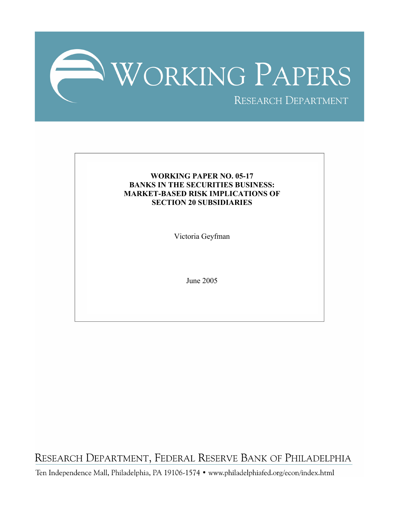

# **WORKING PAPER NO. 05-17 BANKS IN THE SECURITIES BUSINESS: MARKET-BASED RISK IMPLICATIONS OF SECTION 20 SUBSIDIARIES**

Victoria Geyfman

June 2005

RESEARCH DEPARTMENT, FEDERAL RESERVE BANK OF PHILADELPHIA

Ten Independence Mall, Philadelphia, PA 19106-1574 · www.philadelphiafed.org/econ/index.html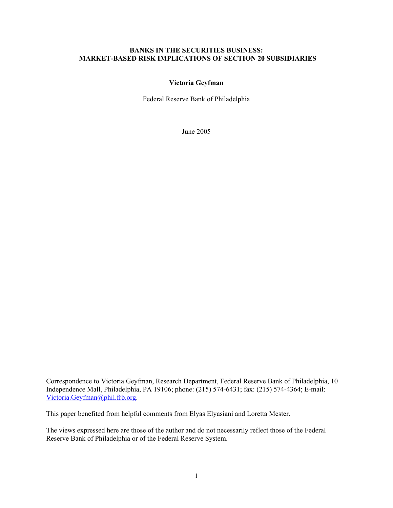## **BANKS IN THE SECURITIES BUSINESS: MARKET-BASED RISK IMPLICATIONS OF SECTION 20 SUBSIDIARIES**

## **Victoria Geyfman**

Federal Reserve Bank of Philadelphia

June 2005

Correspondence to Victoria Geyfman, Research Department, Federal Reserve Bank of Philadelphia, 10 Independence Mall, Philadelphia, PA 19106; phone: (215) 574-6431; fax: (215) 574-4364; E-mail: [Victoria.Geyfman@phil.frb.org.](mailto:Victoria.Geyfman@phil.frb.org)

This paper benefited from helpful comments from Elyas Elyasiani and Loretta Mester.

The views expressed here are those of the author and do not necessarily reflect those of the Federal Reserve Bank of Philadelphia or of the Federal Reserve System.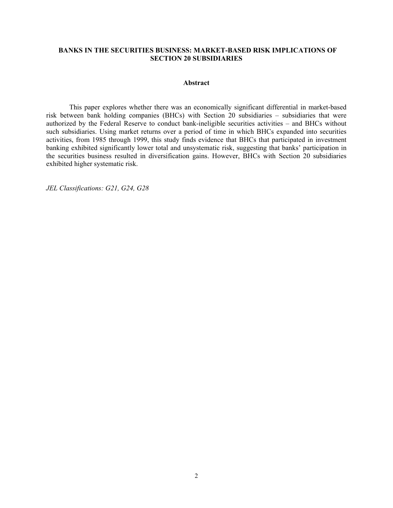## **BANKS IN THE SECURITIES BUSINESS: MARKET-BASED RISK IMPLICATIONS OF SECTION 20 SUBSIDIARIES**

### **Abstract**

This paper explores whether there was an economically significant differential in market-based risk between bank holding companies (BHCs) with Section 20 subsidiaries – subsidiaries that were authorized by the Federal Reserve to conduct bank-ineligible securities activities – and BHCs without such subsidiaries. Using market returns over a period of time in which BHCs expanded into securities activities, from 1985 through 1999, this study finds evidence that BHCs that participated in investment banking exhibited significantly lower total and unsystematic risk, suggesting that banks' participation in the securities business resulted in diversification gains. However, BHCs with Section 20 subsidiaries exhibited higher systematic risk.

*JEL Classifications: G21, G24, G28*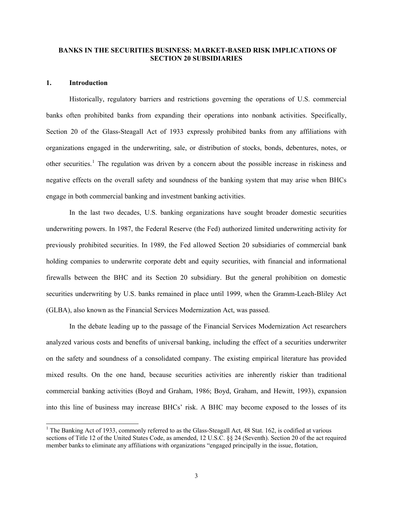## **BANKS IN THE SECURITIES BUSINESS: MARKET-BASED RISK IMPLICATIONS OF SECTION 20 SUBSIDIARIES**

### **1. Introduction**

 $\overline{\phantom{a}}$ 

Historically, regulatory barriers and restrictions governing the operations of U.S. commercial banks often prohibited banks from expanding their operations into nonbank activities. Specifically, Section 20 of the Glass-Steagall Act of 1933 expressly prohibited banks from any affiliations with organizations engaged in the underwriting, sale, or distribution of stocks, bonds, debentures, notes, or other securities.<sup>[1](#page-3-0)</sup> The regulation was driven by a concern about the possible increase in riskiness and negative effects on the overall safety and soundness of the banking system that may arise when BHCs engage in both commercial banking and investment banking activities.

In the last two decades, U.S. banking organizations have sought broader domestic securities underwriting powers. In 1987, the Federal Reserve (the Fed) authorized limited underwriting activity for previously prohibited securities. In 1989, the Fed allowed Section 20 subsidiaries of commercial bank holding companies to underwrite corporate debt and equity securities, with financial and informational firewalls between the BHC and its Section 20 subsidiary. But the general prohibition on domestic securities underwriting by U.S. banks remained in place until 1999, when the Gramm-Leach-Bliley Act (GLBA), also known as the Financial Services Modernization Act, was passed.

 In the debate leading up to the passage of the Financial Services Modernization Act researchers analyzed various costs and benefits of universal banking, including the effect of a securities underwriter on the safety and soundness of a consolidated company. The existing empirical literature has provided mixed results. On the one hand, because securities activities are inherently riskier than traditional commercial banking activities (Boyd and Graham, 1986; Boyd, Graham, and Hewitt, 1993), expansion into this line of business may increase BHCs' risk. A BHC may become exposed to the losses of its

<span id="page-3-0"></span><sup>&</sup>lt;sup>1</sup> The Banking Act of 1933, commonly referred to as the Glass-Steagall Act, 48 Stat. 162, is codified at various sections of Title 12 of the United States Code, as amended, 12 U.S.C. §§ 24 (Seventh). Section 20 of the act required member banks to eliminate any affiliations with organizations "engaged principally in the issue, flotation,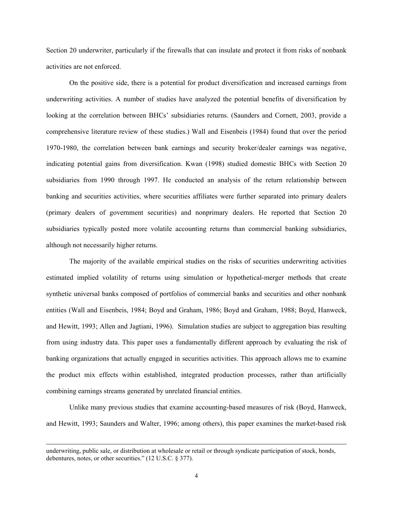Section 20 underwriter, particularly if the firewalls that can insulate and protect it from risks of nonbank activities are not enforced.

On the positive side, there is a potential for product diversification and increased earnings from underwriting activities. A number of studies have analyzed the potential benefits of diversification by looking at the correlation between BHCs' subsidiaries returns. (Saunders and Cornett, 2003, provide a comprehensive literature review of these studies.) Wall and Eisenbeis (1984) found that over the period 1970-1980, the correlation between bank earnings and security broker/dealer earnings was negative, indicating potential gains from diversification. Kwan (1998) studied domestic BHCs with Section 20 subsidiaries from 1990 through 1997. He conducted an analysis of the return relationship between banking and securities activities, where securities affiliates were further separated into primary dealers (primary dealers of government securities) and nonprimary dealers. He reported that Section 20 subsidiaries typically posted more volatile accounting returns than commercial banking subsidiaries, although not necessarily higher returns.

The majority of the available empirical studies on the risks of securities underwriting activities estimated implied volatility of returns using simulation or hypothetical-merger methods that create synthetic universal banks composed of portfolios of commercial banks and securities and other nonbank entities (Wall and Eisenbeis, 1984; Boyd and Graham, 1986; Boyd and Graham, 1988; Boyd, Hanweck, and Hewitt, 1993; Allen and Jagtiani, 1996). Simulation studies are subject to aggregation bias resulting from using industry data. This paper uses a fundamentally different approach by evaluating the risk of banking organizations that actually engaged in securities activities. This approach allows me to examine the product mix effects within established, integrated production processes, rather than artificially combining earnings streams generated by unrelated financial entities.

Unlike many previous studies that examine accounting-based measures of risk (Boyd, Hanweck, and Hewitt, 1993; Saunders and Walter, 1996; among others), this paper examines the market-based risk

 $\overline{\phantom{a}}$ 

underwriting, public sale, or distribution at wholesale or retail or through syndicate participation of stock, bonds, debentures, notes, or other securities." (12 U.S.C. § 377).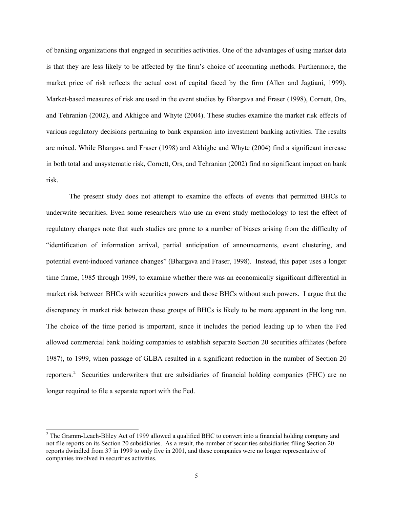of banking organizations that engaged in securities activities. One of the advantages of using market data is that they are less likely to be affected by the firm's choice of accounting methods. Furthermore, the market price of risk reflects the actual cost of capital faced by the firm (Allen and Jagtiani, 1999). Market-based measures of risk are used in the event studies by Bhargava and Fraser (1998), Cornett, Ors, and Tehranian (2002), and Akhigbe and Whyte (2004). These studies examine the market risk effects of various regulatory decisions pertaining to bank expansion into investment banking activities. The results are mixed. While Bhargava and Fraser (1998) and Akhigbe and Whyte (2004) find a significant increase in both total and unsystematic risk, Cornett, Ors, and Tehranian (2002) find no significant impact on bank risk.

The present study does not attempt to examine the effects of events that permitted BHCs to underwrite securities. Even some researchers who use an event study methodology to test the effect of regulatory changes note that such studies are prone to a number of biases arising from the difficulty of "identification of information arrival, partial anticipation of announcements, event clustering, and potential event-induced variance changes" (Bhargava and Fraser, 1998). Instead, this paper uses a longer time frame, 1985 through 1999, to examine whether there was an economically significant differential in market risk between BHCs with securities powers and those BHCs without such powers. I argue that the discrepancy in market risk between these groups of BHCs is likely to be more apparent in the long run. The choice of the time period is important, since it includes the period leading up to when the Fed allowed commercial bank holding companies to establish separate Section 20 securities affiliates (before 1987), to 1999, when passage of GLBA resulted in a significant reduction in the number of Section 20 reporters.<sup>[2](#page-5-0)</sup> Securities underwriters that are subsidiaries of financial holding companies (FHC) are no longer required to file a separate report with the Fed.

 $\overline{\phantom{a}}$ 

<span id="page-5-0"></span> $2$  The Gramm-Leach-Bliley Act of 1999 allowed a qualified BHC to convert into a financial holding company and not file reports on its Section 20 subsidiaries. As a result, the number of securities subsidiaries filing Section 20 reports dwindled from 37 in 1999 to only five in 2001, and these companies were no longer representative of companies involved in securities activities.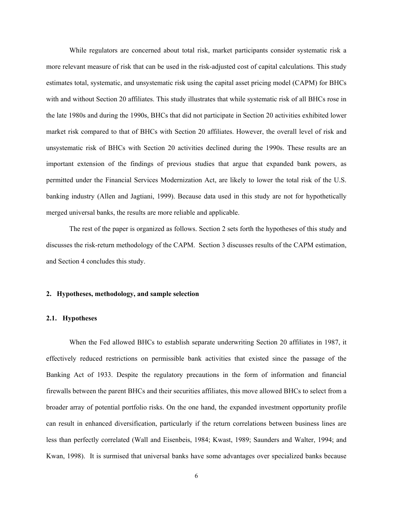While regulators are concerned about total risk, market participants consider systematic risk a more relevant measure of risk that can be used in the risk-adjusted cost of capital calculations. This study estimates total, systematic, and unsystematic risk using the capital asset pricing model (CAPM) for BHCs with and without Section 20 affiliates. This study illustrates that while systematic risk of all BHCs rose in the late 1980s and during the 1990s, BHCs that did not participate in Section 20 activities exhibited lower market risk compared to that of BHCs with Section 20 affiliates. However, the overall level of risk and unsystematic risk of BHCs with Section 20 activities declined during the 1990s. These results are an important extension of the findings of previous studies that argue that expanded bank powers, as permitted under the Financial Services Modernization Act, are likely to lower the total risk of the U.S. banking industry (Allen and Jagtiani, 1999). Because data used in this study are not for hypothetically merged universal banks, the results are more reliable and applicable.

 The rest of the paper is organized as follows. Section 2 sets forth the hypotheses of this study and discusses the risk-return methodology of the CAPM. Section 3 discusses results of the CAPM estimation, and Section 4 concludes this study.

## **2. Hypotheses, methodology, and sample selection**

### **2.1. Hypotheses**

When the Fed allowed BHCs to establish separate underwriting Section 20 affiliates in 1987, it effectively reduced restrictions on permissible bank activities that existed since the passage of the Banking Act of 1933. Despite the regulatory precautions in the form of information and financial firewalls between the parent BHCs and their securities affiliates, this move allowed BHCs to select from a broader array of potential portfolio risks. On the one hand, the expanded investment opportunity profile can result in enhanced diversification, particularly if the return correlations between business lines are less than perfectly correlated (Wall and Eisenbeis, 1984; Kwast, 1989; Saunders and Walter, 1994; and Kwan, 1998). It is surmised that universal banks have some advantages over specialized banks because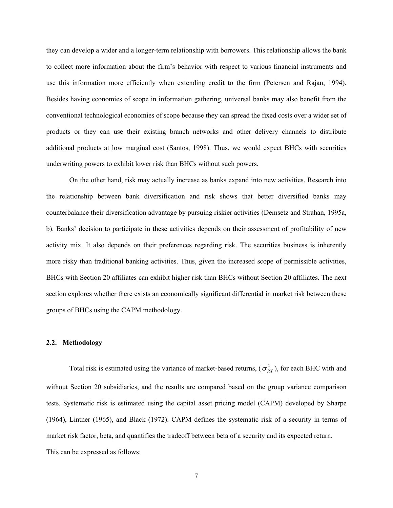they can develop a wider and a longer-term relationship with borrowers. This relationship allows the bank to collect more information about the firm's behavior with respect to various financial instruments and use this information more efficiently when extending credit to the firm (Petersen and Rajan, 1994). Besides having economies of scope in information gathering, universal banks may also benefit from the conventional technological economies of scope because they can spread the fixed costs over a wider set of products or they can use their existing branch networks and other delivery channels to distribute additional products at low marginal cost (Santos, 1998). Thus, we would expect BHCs with securities underwriting powers to exhibit lower risk than BHCs without such powers.

On the other hand, risk may actually increase as banks expand into new activities. Research into the relationship between bank diversification and risk shows that better diversified banks may counterbalance their diversification advantage by pursuing riskier activities (Demsetz and Strahan, 1995a, b). Banks' decision to participate in these activities depends on their assessment of profitability of new activity mix. It also depends on their preferences regarding risk. The securities business is inherently more risky than traditional banking activities. Thus, given the increased scope of permissible activities, BHCs with Section 20 affiliates can exhibit higher risk than BHCs without Section 20 affiliates. The next section explores whether there exists an economically significant differential in market risk between these groups of BHCs using the CAPM methodology.

## **2.2. Methodology**

Total risk is estimated using the variance of market-based returns,  $(\sigma_{RX}^2)$ , for each BHC with and without Section 20 subsidiaries, and the results are compared based on the group variance comparison tests. Systematic risk is estimated using the capital asset pricing model (CAPM) developed by Sharpe (1964), Lintner (1965), and Black (1972). CAPM defines the systematic risk of a security in terms of market risk factor, beta, and quantifies the tradeoff between beta of a security and its expected return. This can be expressed as follows: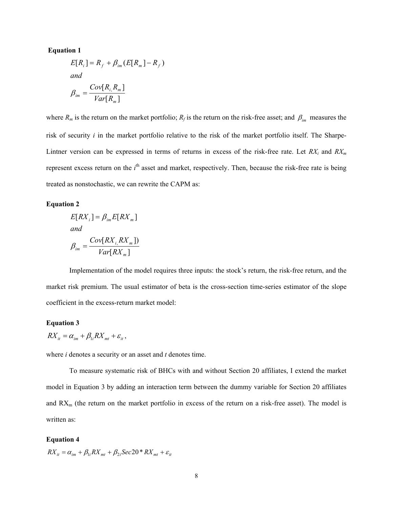### **Equation 1**

$$
E[R_i] = R_f + \beta_{im} (E[R_m] - R_f)
$$
  
and  

$$
\beta_{im} = \frac{Cov[R_i, R_m]}{Var[R_m]}
$$

where  $R_m$  is the return on the market portfolio;  $R_f$  is the return on the risk-free asset; and  $\beta_{im}$  measures the risk of security *i* in the market portfolio relative to the risk of the market portfolio itself. The Sharpe-Lintner version can be expressed in terms of returns in excess of the risk-free rate. Let  $RX_i$  and  $RX_m$ represent excess return on the *i*<sup>th</sup> asset and market, respectively. Then, because the risk-free rate is being treated as nonstochastic, we can rewrite the CAPM as:

### **Equation 2**

$$
E[RX_i] = \beta_{im} E[RX_m]
$$
  
and  

$$
\beta_{im} = \frac{Cov[RX_i, RX_m])}{Var[RX_m]}
$$

 Implementation of the model requires three inputs: the stock's return, the risk-free return, and the market risk premium. The usual estimator of beta is the cross-section time-series estimator of the slope coefficient in the excess-return market model:

### <span id="page-8-0"></span>**Equation 3**

$$
RX_{it} = \alpha_{im} + \beta_{1i} RX_{mt} + \varepsilon_{it},
$$

where *i* denotes a security or an asset and *t* denotes time.

 To measure systematic risk of BHCs with and without Section 20 affiliates, I extend the market model in [Equation 3](#page-8-0) by adding an interaction term between the dummy variable for Section 20 affiliates and  $RX_m$  (the return on the market portfolio in excess of the return on a risk-free asset). The model is written as:

#### <span id="page-8-1"></span>**Equation 4**

$$
RX_{it} = \alpha_{im} + \beta_{1i} RX_{mt} + \beta_{2i} Sec20 * RX_{mt} + \varepsilon_{it}
$$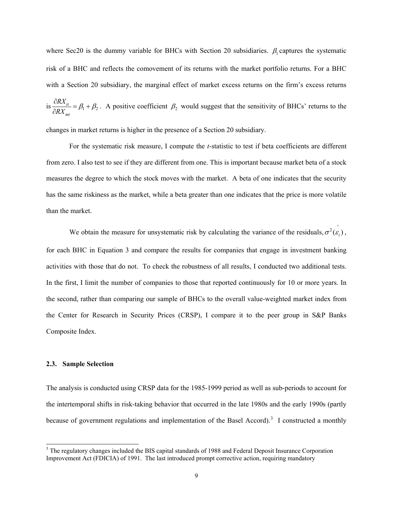where Sec20 is the dummy variable for BHCs with Section 20 subsidiaries.  $\beta_1$  captures the systematic risk of a BHC and reflects the comovement of its returns with the market portfolio returns. For a BHC with a Section 20 subsidiary, the marginal effect of market excess returns on the firm's excess returns is  $\frac{\partial \mathbf{K} \cdot \mathbf{H}}{\partial \mathbf{D} \cdot \mathbf{K}} = \beta_1$ *mt RX*  $\frac{1}{RX_{mt}} = \beta_1 + \beta_2$  $\frac{\partial RX_{it}}{\partial RX_{mt}} = \beta_1 + \beta_2$ . A positive coefficient  $\beta_2$  would suggest that the sensitivity of BHCs' returns to the

changes in market returns is higher in the presence of a Section 20 subsidiary.

 For the systematic risk measure, I compute the *t-*statistic to test if beta coefficients are different from zero. I also test to see if they are different from one. This is important because market beta of a stock measures the degree to which the stock moves with the market. A beta of one indicates that the security has the same riskiness as the market, while a beta greater than one indicates that the price is more volatile than the market.

We obtain the measure for unsystematic risk by calculating the variance of the residuals,  $\sigma^2(\hat{\epsilon}_i)$ , for each BHC in [Equation 3](#page-8-0) and compare the results for companies that engage in investment banking activities with those that do not. To check the robustness of all results, I conducted two additional tests. In the first, I limit the number of companies to those that reported continuously for 10 or more years. In the second, rather than comparing our sample of BHCs to the overall value-weighted market index from the Center for Research in Security Prices (CRSP), I compare it to the peer group in S&P Banks Composite Index.

### **2.3. Sample Selection**

The analysis is conducted using CRSP data for the 1985-1999 period as well as sub-periods to account for the intertemporal shifts in risk-taking behavior that occurred in the late 1980s and the early 1990s (partly because of government regulations and implementation of the Basel Accord).<sup>[3](#page-9-0)</sup> I constructed a monthly

<span id="page-9-0"></span><sup>&</sup>lt;sup>3</sup> The regulatory changes included the BIS capital standards of 1988 and Federal Deposit Insurance Corporation Improvement Act (FDICIA) of 1991. The last introduced prompt corrective action, requiring mandatory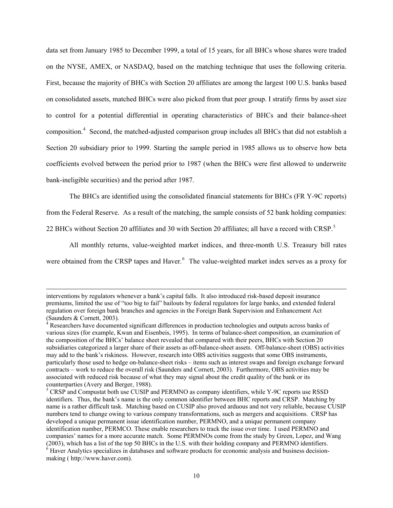data set from January 1985 to December 1999, a total of 15 years, for all BHCs whose shares were traded on the NYSE, AMEX, or NASDAQ, based on the matching technique that uses the following criteria. First, because the majority of BHCs with Section 20 affiliates are among the largest 100 U.S. banks based on consolidated assets, matched BHCs were also picked from that peer group. I stratify firms by asset size to control for a potential differential in operating characteristics of BHCs and their balance-sheet composition.<sup>[4](#page-10-0)</sup> Second, the matched-adjusted comparison group includes all BHCs that did not establish a Section 20 subsidiary prior to 1999. Starting the sample period in 1985 allows us to observe how beta coefficients evolved between the period prior to 1987 (when the BHCs were first allowed to underwrite bank-ineligible securities) and the period after 1987.

The BHCs are identified using the consolidated financial statements for BHCs (FR Y-9C reports)

from the Federal Reserve. As a result of the matching, the sample consists of 52 bank holding companies:

22 BHCs without Section 20 affiliates and 30 with Section 20 affiliates; all have a record with CRSP.<sup>[5](#page-10-1)</sup>

 All monthly returns, value-weighted market indices, and three-month U.S. Treasury bill rates were obtained from the CRSP tapes and Haver.<sup>[6](#page-10-2)</sup> The value-weighted market index serves as a proxy for

 $\overline{\phantom{a}}$ 

interventions by regulators whenever a bank's capital falls. It also introduced risk-based deposit insurance premiums, limited the use of "too big to fail" bailouts by federal regulators for large banks, and extended federal regulation over foreign bank branches and agencies in the Foreign Bank Supervision and Enhancement Act (Saunders & Cornett, 2003).

<span id="page-10-0"></span> $R<sup>4</sup>$  Researchers have documented significant differences in production technologies and outputs across banks of various sizes (for example, Kwan and Eisenbeis, 1995). In terms of balance-sheet composition, an examination of the composition of the BHCs' balance sheet revealed that compared with their peers, BHCs with Section 20 subsidiaries categorized a larger share of their assets as off-balance-sheet assets. Off-balance-sheet (OBS) activities may add to the bank's riskiness. However, research into OBS activities suggests that some OBS instruments, particularly those used to hedge on-balance-sheet risks – items such as interest swaps and foreign exchange forward contracts – work to reduce the overall risk (Saunders and Cornett, 2003). Furthermore, OBS activities may be associated with reduced risk because of what they may signal about the credit quality of the bank or its counterparties (Avery and Berger, 1988).

<span id="page-10-2"></span><span id="page-10-1"></span><sup>&</sup>lt;sup>5</sup> CRSP and Compustat both use CUSIP and PERMNO as company identifiers, while Y-9C reports use RSSD identifiers. Thus, the bank's name is the only common identifier between BHC reports and CRSP. Matching by name is a rather difficult task. Matching based on CUSIP also proved arduous and not very reliable, because CUSIP numbers tend to change owing to various company transformations, such as mergers and acquisitions. CRSP has developed a unique permanent issue identification number, PERMNO, and a unique permanent company identification number, PERMCO. These enable researchers to track the issue over time. I used PERMNO and companies' names for a more accurate match. Some PERMNOs come from the study by Green, Lopez, and Wang (2003), which has a list of the top 50 BHCs in the U.S. with their holding company and PERMNO identifiers. 6  $6$  Haver Analytics specializes in databases and software products for economic analysis and business decisionmaking ( [http://www.haver.com](http://www.haver.com/)).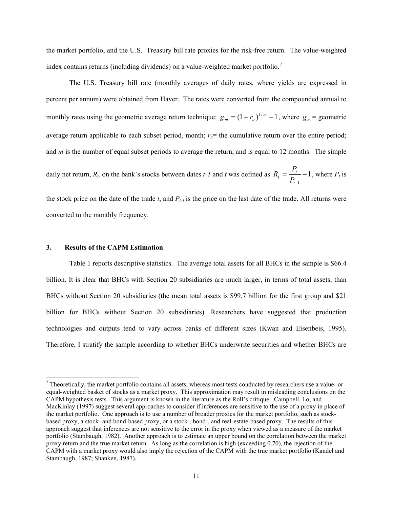the market portfolio, and the U.S. Treasury bill rate proxies for the risk-free return. The value-weighted index contains returns (including dividends) on a value-weighted market portfolio.<sup>[7](#page-11-0)</sup>

 The U.S. Treasury bill rate (monthly averages of daily rates, where yields are expressed in percent per annum) were obtained from Haver. The rates were converted from the compounded annual to monthly rates using the geometric average return technique:  $g_m = (1 + r_a)^{1/m} - 1$ , where  $g_m$  = geometric average return applicable to each subset period, month;  $r_a$  = the cumulative return over the entire period; and *m* is the number of equal subset periods to average the return, and is equal to 12 months. The simple daily net return,  $R_b$  on the bank's stocks between dates *t-1* and *t* was defined as  $R_t = \frac{1}{R} - 1$  $=\frac{1}{2}t$ *t*  $^t$   $^ P$ <sub>1</sub>  $R_t = \frac{P_t}{R} - 1$ , where  $P_t$  is

the stock price on the date of the trade  $t$ , and  $P_{t-1}$  is the price on the last date of the trade. All returns were converted to the monthly frequency.

1

*t*−

#### **3. Results of the CAPM Estimation**

 $\overline{\phantom{a}}$ 

 Table 1 reports descriptive statistics. The average total assets for all BHCs in the sample is \$66.4 billion. It is clear that BHCs with Section 20 subsidiaries are much larger, in terms of total assets, than BHCs without Section 20 subsidiaries (the mean total assets is \$99.7 billion for the first group and \$21 billion for BHCs without Section 20 subsidiaries). Researchers have suggested that production technologies and outputs tend to vary across banks of different sizes (Kwan and Eisenbeis, 1995). Therefore, I stratify the sample according to whether BHCs underwrite securities and whether BHCs are

<span id="page-11-0"></span> $<sup>7</sup>$  Theoretically, the market portfolio contains all assets, whereas most tests conducted by researchers use a value- or</sup> equal-weighted basket of stocks as a market proxy. This approximation may result in misleading conclusions on the CAPM hypothesis tests. This argument is known in the literature as the Roll's critique. Campbell, Lo, and MacKinlay (1997) suggest several approaches to consider if inferences are sensitive to the use of a proxy in place of the market portfolio. One approach is to use a number of broader proxies for the market portfolio, such as stockbased proxy, a stock- and bond-based proxy, or a stock-, bond-, and real-estate-based proxy. The results of this approach suggest that inferences are not sensitive to the error in the proxy when viewed as a measure of the market portfolio (Stambaugh, 1982). Another approach is to estimate an upper bound on the correlation between the market proxy return and the true market return. As long as the correlation is high (exceeding 0.70), the rejection of the CAPM with a market proxy would also imply the rejection of the CAPM with the true market portfolio (Kandel and Stambaugh, 1987; Shanken, 1987).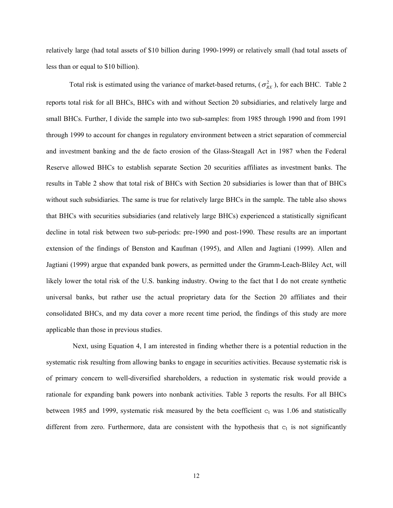relatively large (had total assets of \$10 billion during 1990-1999) or relatively small (had total assets of less than or equal to \$10 billion).

Total risk is estimated using the variance of market-based returns,  $(\sigma_{RX}^2)$ , for each BHC. [Table 2](#page-20-0) reports total risk for all BHCs, BHCs with and without Section 20 subsidiaries, and relatively large and small BHCs. Further, I divide the sample into two sub-samples: from 1985 through 1990 and from 1991 through 1999 to account for changes in regulatory environment between a strict separation of commercial and investment banking and the de facto erosion of the Glass-Steagall Act in 1987 when the Federal Reserve allowed BHCs to establish separate Section 20 securities affiliates as investment banks. The results in [Table 2](#page-20-0) show that total risk of BHCs with Section 20 subsidiaries is lower than that of BHCs without such subsidiaries. The same is true for relatively large BHCs in the sample. The table also shows that BHCs with securities subsidiaries (and relatively large BHCs) experienced a statistically significant decline in total risk between two sub-periods: pre-1990 and post-1990. These results are an important extension of the findings of Benston and Kaufman (1995), and Allen and Jagtiani (1999). Allen and Jagtiani (1999) argue that expanded bank powers, as permitted under the Gramm-Leach-Bliley Act, will likely lower the total risk of the U.S. banking industry. Owing to the fact that I do not create synthetic universal banks, but rather use the actual proprietary data for the Section 20 affiliates and their consolidated BHCs, and my data cover a more recent time period, the findings of this study are more applicable than those in previous studies.

 Next, using [Equation 4,](#page-8-1) I am interested in finding whether there is a potential reduction in the systematic risk resulting from allowing banks to engage in securities activities. Because systematic risk is of primary concern to well-diversified shareholders, a reduction in systematic risk would provide a rationale for expanding bank powers into nonbank activities. [Table 3](#page-21-0) reports the results. For all BHCs between 1985 and 1999, systematic risk measured by the beta coefficient  $c<sub>1</sub>$  was 1.06 and statistically different from zero. Furthermore, data are consistent with the hypothesis that  $c_1$  is not significantly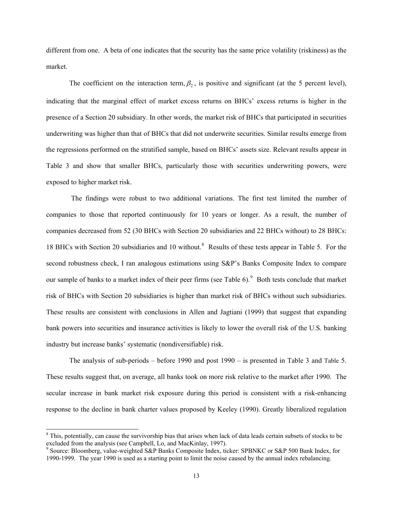different from one. A beta of one indicates that the security has the same price volatility (riskiness) as the market.

The coefficient on the interaction term,  $\beta_2$ , is positive and significant (at the 5 percent level), indicating that the marginal effect of market excess returns on BHCs' excess returns is higher in the presence of a Section 20 subsidiary. In other words, the market risk of BHCs that participated in securities underwriting was higher than that of BHCs that did not underwrite securities. Similar results emerge from the regressions performed on the stratified sample, based on BHCs' assets size. Relevant results appear in [Table 3](#page-21-0) and show that smaller BHCs, particularly those with securities underwriting powers, were exposed to higher market risk.

 The findings were robust to two additional variations. The first test limited the number of companies to those that reported continuously for 10 years or longer. As a result, the number of companies decreased from 52 (30 BHCs with Section 20 subsidiaries and 22 BHCs without) to 28 BHCs: 1[8](#page-13-0) BHCs with Section 20 subsidiaries and 10 without.<sup>8</sup> Results of these tests appear in [Table 5](#page-23-0). For the second robustness check, I ran analogous estimations using S&P's Banks Composite Index to compare our sample of banks to a market index of their peer firms (see Table  $6$ ).<sup>[9](#page-13-1)</sup> Both tests conclude that market risk of BHCs with Section 20 subsidiaries is higher than market risk of BHCs without such subsidiaries. These results are consistent with conclusions in Allen and Jagtiani (1999) that suggest that expanding bank powers into securities and insurance activities is likely to lower the overall risk of the U.S. banking industry but increase banks' systematic (nondiversifiable) risk.

The analysis of sub-periods – before 1990 and post 1990 – is presented in [Table 3](#page-21-0) and [Table 5.](#page-23-0) These results suggest that, on average, all banks took on more risk relative to the market after 1990. The secular increase in bank market risk exposure during this period is consistent with a risk-enhancing response to the decline in bank charter values proposed by Keeley (1990). Greatly liberalized regulation

 $\overline{\phantom{a}}$ 

<span id="page-13-0"></span> $8$  This, potentially, can cause the survivorship bias that arises when lack of data leads certain subsets of stocks to be excluded from the analysis (see Campbell, Lo, and MacKinlay, 1997).<br><sup>9</sup> Source: Bloomberg, value-weighted S&P Banks Composite Index, ticker: SPBNKC or S&P 500 Bank Index, for

<span id="page-13-1"></span><sup>1990-1999.</sup> The year 1990 is used as a starting point to limit the noise caused by the annual index rebalancing.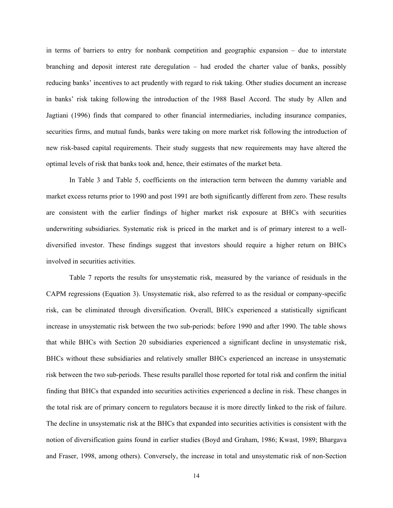in terms of barriers to entry for nonbank competition and geographic expansion – due to interstate branching and deposit interest rate deregulation – had eroded the charter value of banks, possibly reducing banks' incentives to act prudently with regard to risk taking. Other studies document an increase in banks' risk taking following the introduction of the 1988 Basel Accord. The study by Allen and Jagtiani (1996) finds that compared to other financial intermediaries, including insurance companies, securities firms, and mutual funds, banks were taking on more market risk following the introduction of new risk-based capital requirements. Their study suggests that new requirements may have altered the optimal levels of risk that banks took and, hence, their estimates of the market beta.

In [Table 3](#page-21-0) and [Table 5,](#page-23-0) coefficients on the interaction term between the dummy variable and market excess returns prior to 1990 and post 1991 are both significantly different from zero. These results are consistent with the earlier findings of higher market risk exposure at BHCs with securities underwriting subsidiaries. Systematic risk is priced in the market and is of primary interest to a welldiversified investor. These findings suggest that investors should require a higher return on BHCs involved in securities activities.

[Table 7](#page-25-0) reports the results for unsystematic risk, measured by the variance of residuals in the CAPM regressions ([Equation 3](#page-8-0)). Unsystematic risk, also referred to as the residual or company-specific risk, can be eliminated through diversification. Overall, BHCs experienced a statistically significant increase in unsystematic risk between the two sub-periods: before 1990 and after 1990. The table shows that while BHCs with Section 20 subsidiaries experienced a significant decline in unsystematic risk, BHCs without these subsidiaries and relatively smaller BHCs experienced an increase in unsystematic risk between the two sub-periods. These results parallel those reported for total risk and confirm the initial finding that BHCs that expanded into securities activities experienced a decline in risk. These changes in the total risk are of primary concern to regulators because it is more directly linked to the risk of failure. The decline in unsystematic risk at the BHCs that expanded into securities activities is consistent with the notion of diversification gains found in earlier studies (Boyd and Graham, 1986; Kwast, 1989; Bhargava and Fraser, 1998, among others). Conversely, the increase in total and unsystematic risk of non-Section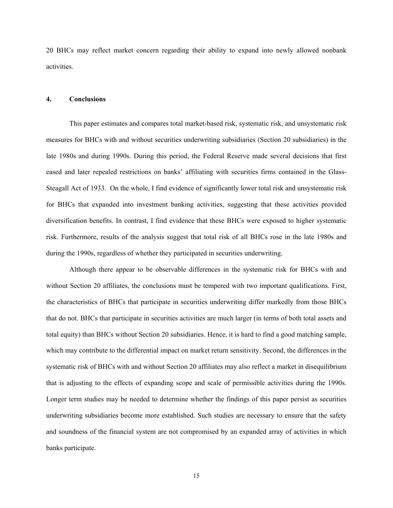20 BHCs may reflect market concern regarding their ability to expand into newly allowed nonbank activities.

### **4. Conclusions**

This paper estimates and compares total market-based risk, systematic risk, and unsystematic risk measures for BHCs with and without securities underwriting subsidiaries (Section 20 subsidiaries) in the late 1980s and during 1990s. During this period, the Federal Reserve made several decisions that first eased and later repealed restrictions on banks' affiliating with securities firms contained in the Glass-Steagall Act of 1933. On the whole, I find evidence of significantly lower total risk and unsystematic risk for BHCs that expanded into investment banking activities, suggesting that these activities provided diversification benefits. In contrast, I find evidence that these BHCs were exposed to higher systematic risk. Furthermore, results of the analysis suggest that total risk of all BHCs rose in the late 1980s and during the 1990s, regardless of whether they participated in securities underwriting.

Although there appear to be observable differences in the systematic risk for BHCs with and without Section 20 affiliates, the conclusions must be tempered with two important qualifications. First, the characteristics of BHCs that participate in securities underwriting differ markedly from those BHCs that do not. BHCs that participate in securities activities are much larger (in terms of both total assets and total equity) than BHCs without Section 20 subsidiaries. Hence, it is hard to find a good matching sample, which may contribute to the differential impact on market return sensitivity. Second, the differences in the systematic risk of BHCs with and without Section 20 affiliates may also reflect a market in disequilibrium that is adjusting to the effects of expanding scope and scale of permissible activities during the 1990s. Longer term studies may be needed to determine whether the findings of this paper persist as securities underwriting subsidiaries become more established. Such studies are necessary to ensure that the safety and soundness of the financial system are not compromised by an expanded array of activities in which banks participate.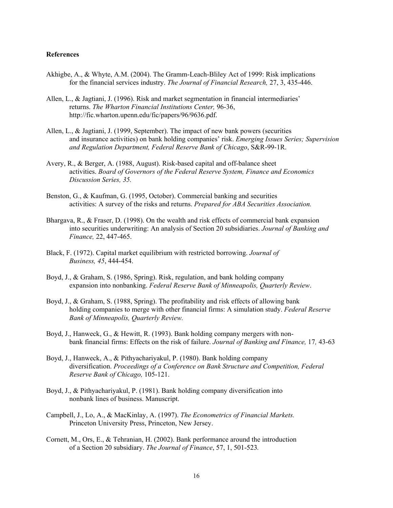### **References**

- Akhigbe, A., & Whyte, A.M. (2004). The Gramm-Leach-Bliley Act of 1999: Risk implications for the financial services industry. *The Journal of Financial Research,* 27, 3, 435-446.
- Allen, L., & Jagtiani, J. (1996). Risk and market segmentation in financial intermediaries' returns. *The Wharton Financial Institutions Center,* 96-36, [http://fic.wharton.upenn.edu/fic/papers/96/9636.pdf.](http://fic.wharton.upenn.edu/fic/papers/96/9636.pdf)
- Allen, L., & Jagtiani, J. (1999, September). The impact of new bank powers (securities and insurance activities) on bank holding companies' risk. *Emerging Issues Series; Supervision and Regulation Department, Federal Reserve Bank of Chicago*, S&R-99-1R.
- Avery, R., & Berger, A. (1988, August). Risk-based capital and off-balance sheet activities. *Board of Governors of the Federal Reserve System, Finance and Economics Discussion Series, 35.*
- Benston, G., & Kaufman, G. (1995, October). Commercial banking and securities activities: A survey of the risks and returns. *Prepared for ABA Securities Association.*
- Bhargava, R., & Fraser, D. (1998). On the wealth and risk effects of commercial bank expansion into securities underwriting: An analysis of Section 20 subsidiaries. *Journal of Banking and Finance,* 22, 447-465.
- Black, F. (1972). Capital market equilibrium with restricted borrowing. *Journal of Business, 45*, 444-454.
- Boyd, J., & Graham, S. (1986, Spring). Risk, regulation, and bank holding company expansion into nonbanking. *Federal Reserve Bank of Minneapolis, Quarterly Review*.
- Boyd, J., & Graham, S. (1988, Spring). The profitability and risk effects of allowing bank holding companies to merge with other financial firms: A simulation study. *Federal Reserve Bank of Minneapolis, Quarterly Review.*
- Boyd, J., Hanweck, G., & Hewitt, R. (1993). Bank holding company mergers with nonbank financial firms: Effects on the risk of failure. *Journal of Banking and Finance,* 17*,* 43-63
- Boyd, J., Hanweck, A., & Pithyachariyakul, P. (1980). Bank holding company diversification. *Proceedings of a Conference on Bank Structure and Competition, Federal Reserve Bank of Chicago,* 105-121.
- Boyd, J., & Pithyachariyakul, P. (1981). Bank holding company diversification into nonbank lines of business. Manuscript.
- Campbell, J., Lo, A., & MacKinlay, A. (1997). *The Econometrics of Financial Markets.* Princeton University Press, Princeton, New Jersey.
- Cornett, M., Ors, E., & Tehranian, H. (2002). Bank performance around the introduction of a Section 20 subsidiary. *The Journal of Finance*, 57, 1, 501-523*.*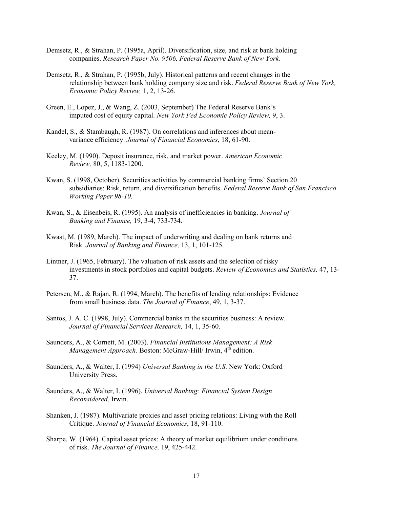- Demsetz, R., & Strahan, P. (1995a, April). Diversification, size, and risk at bank holding companies. *Research Paper No. 9506, Federal Reserve Bank of New York*.
- Demsetz, R., & Strahan, P. (1995b, July). Historical patterns and recent changes in the relationship between bank holding company size and risk. *Federal Reserve Bank of New York, Economic Policy Review,* 1, 2, 13-26.
- Green, E., Lopez, J., & Wang, Z. (2003, September) The Federal Reserve Bank's imputed cost of equity capital. *New York Fed Economic Policy Review,* 9, 3.
- Kandel, S., & Stambaugh, R. (1987). On correlations and inferences about mean variance efficiency. *Journal of Financial Economics*, 18, 61-90.
- Keeley, M. (1990). Deposit insurance, risk, and market power. *American Economic Review,* 80, 5, 1183-1200.
- Kwan, S. (1998, October). Securities activities by commercial banking firms' Section 20 subsidiaries: Risk, return, and diversification benefits. *Federal Reserve Bank of San Francisco Working Paper 98-10*.
- Kwan, S., & Eisenbeis, R. (1995). An analysis of inefficiencies in banking. *Journal of Banking and Finance,* 19, 3-4, 733-734.
- Kwast, M. (1989, March). The impact of underwriting and dealing on bank returns and Risk. *Journal of Banking and Finance,* 13, 1, 101-125.
- Lintner, J. (1965, February). The valuation of risk assets and the selection of risky investments in stock portfolios and capital budgets. *Review of Economics and Statistics,* 47, 13- 37.
- Petersen, M., & Rajan, R. (1994, March). The benefits of lending relationships: Evidence from small business data. *The Journal of Finance*, 49, 1, 3-37.
- Santos, J. A. C. (1998, July). Commercial banks in the securities business: A review. *Journal of Financial Services Research,* 14, 1, 35-60.
- Saunders, A., & Cornett, M. (2003). *Financial Institutions Management: A Risk Management Approach.* Boston: McGraw-Hill/ Irwin, 4<sup>th</sup> edition.
- Saunders, A., & Walter, I. (1994) *Universal Banking in the U.S*. New York: Oxford University Press.
- Saunders, A., & Walter, I. (1996). *Universal Banking: Financial System Design Reconsidered*, Irwin.
- Shanken, J. (1987). Multivariate proxies and asset pricing relations: Living with the Roll Critique. *Journal of Financial Economics*, 18, 91-110.
- Sharpe, W. (1964). Capital asset prices: A theory of market equilibrium under conditions of risk. *The Journal of Finance,* 19, 425-442.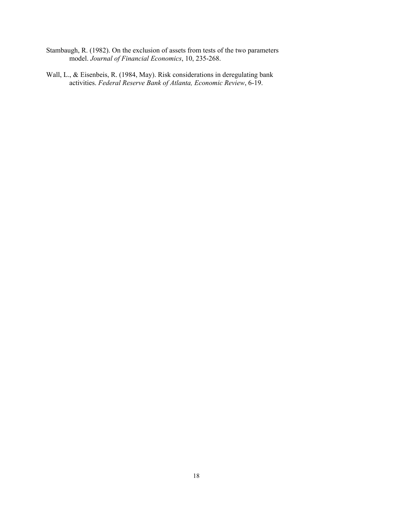- Stambaugh, R. (1982). On the exclusion of assets from tests of the two parameters model. *Journal of Financial Economics*, 10, 235-268.
- Wall, L., & Eisenbeis, R. (1984, May). Risk considerations in deregulating bank activities. *Federal Reserve Bank of Atlanta, Economic Review*, 6-19.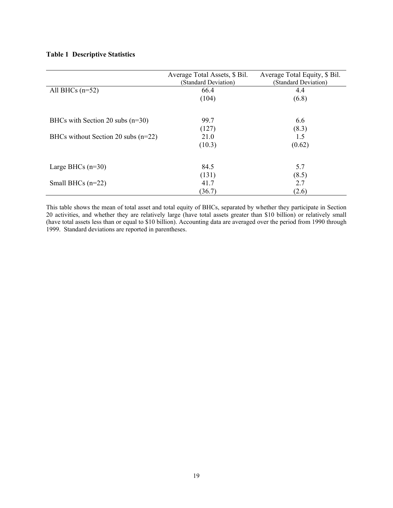|                                       | Average Total Assets, \$ Bil.<br>(Standard Deviation) | Average Total Equity, \$ Bil.<br>(Standard Deviation) |
|---------------------------------------|-------------------------------------------------------|-------------------------------------------------------|
| All BHCs $(n=52)$                     | 66.4                                                  | 4.4                                                   |
|                                       | (104)                                                 | (6.8)                                                 |
|                                       |                                                       |                                                       |
| BHCs with Section 20 subs $(n=30)$    | 99.7                                                  | 6.6                                                   |
|                                       | (127)                                                 | (8.3)                                                 |
| BHCs without Section 20 subs $(n=22)$ | 21.0                                                  | 1.5                                                   |
|                                       | (10.3)                                                | (0.62)                                                |
|                                       |                                                       |                                                       |
| Large BHCs $(n=30)$                   | 84.5                                                  | 5.7                                                   |
|                                       | (131)                                                 | (8.5)                                                 |
| Small BHCs $(n=22)$                   | 41.7                                                  | 2.7                                                   |
|                                       | (36.7)                                                | (2.6)                                                 |

This table shows the mean of total asset and total equity of BHCs, separated by whether they participate in Section 20 activities, and whether they are relatively large (have total assets greater than \$10 billion) or relatively small (have total assets less than or equal to \$10 billion). Accounting data are averaged over the period from 1990 through 1999. Standard deviations are reported in parentheses.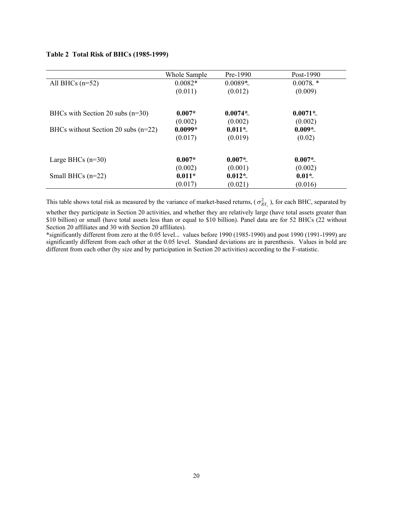|                                       | Whole Sample | $Pre-1990$ | Post-1990             |
|---------------------------------------|--------------|------------|-----------------------|
| All BHCs $(n=52)$                     | $0.0082*$    | $0.0089*$  | $0.0078$ *            |
|                                       | (0.011)      | (0.012)    | (0.009)               |
| BHCs with Section 20 subs $(n=30)$    | $0.007*$     | $0.0074*$  | $0.0071$ <sup>*</sup> |
|                                       | (0.002)      | (0.002)    | (0.002)               |
| BHCs without Section 20 subs $(n=22)$ | $0.0099*$    | $0.011*$   | $0.009*$              |
|                                       | (0.017)      | (0.019)    | (0.02)                |
| Large BHCs $(n=30)$                   | $0.007*$     | $0.007*$   | $0.007*$              |
|                                       | (0.002)      | (0.001)    | (0.002)               |
| Small BHCs $(n=22)$                   | $0.011*$     | $0.012*$   | $0.01*$               |
|                                       | (0.017)      | (0.021)    | (0.016)               |

# <span id="page-20-0"></span>**Table 2 Total Risk of BHCs (1985-1999)**

This table shows total risk as measured by the variance of market-based returns,  $(\sigma_{RX_i}^2)$ , for each BHC, separated by

whether they participate in Section 20 activities, and whether they are relatively large (have total assets greater than \$10 billion) or small (have total assets less than or equal to \$10 billion). Panel data are for 52 BHCs (22 without Section 20 affiliates and 30 with Section 20 affiliates).

\*significantly different from zero at the 0.05 level. values before 1990 (1985-1990) and post 1990 (1991-1999) are significantly different from each other at the 0.05 level. Standard deviations are in parenthesis. Values in bold are different from each other (by size and by participation in Section 20 activities) according to the F-statistic.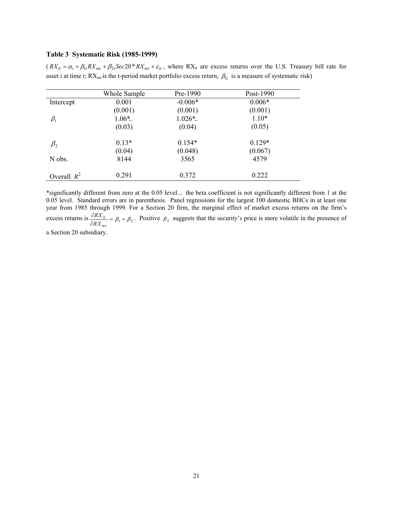## <span id="page-21-0"></span>**Table 3 Systematic Risk (1985-1999)**

 $(RX_{it} = \alpha_i + \beta_{1i} RX_{mt} + \beta_{2i} Sec20 * RX_{mt} + \varepsilon_{it}$ , where RX<sub>it</sub> are excess returns over the U.S. Treasury bill rate for asset *i* at time *t*;  $RX_{mt}$  is the t-period market portfolio excess return,  $\beta_{1i}$  is a measure of systematic risk)

|               | Whole Sample | Pre-1990  | Post-1990 |
|---------------|--------------|-----------|-----------|
| Intercept     | 0.001        | $-0.006*$ | $0.006*$  |
|               | (0.001)      | (0.001)   | (0.001)   |
| $\beta_1$     | $1.06*$      | $1.026*$  | $1.10*$   |
|               | (0.03)       | (0.04)    | (0.05)    |
| $\beta_2$     | $0.13*$      | $0.154*$  | $0.129*$  |
|               | (0.04)       | (0.048)   | (0.067)   |
| N obs.        | 8144         | 3565      | 4579      |
| Overall $R^2$ | 0.291        | 0.372     | 0.222     |

**\***significantly different from zero at the 0.05 level. × the beta coefficient is not significantly different from 1 at the 0.05 level. Standard errors are in parenthesis. Panel regressions for the largest 100 domestic BHCs in at least one year from 1985 through 1999. For a Section 20 firm, the marginal effect of market excess returns on the firm's excess returns is  $\frac{U_{t} N A_{it}}{\partial R X_{mt}} = \beta_1$  $\frac{\partial RX_{it}}{\partial RX_{mt}} = \beta_1 + \beta_2$ . Positive  $\beta_2$  suggests that the security's price is more volatile in the presence of

a Section 20 subsidiary.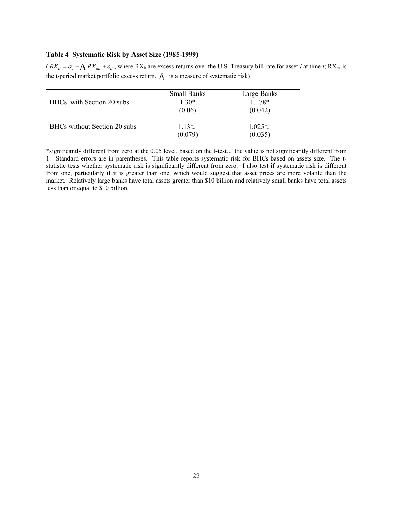## **Table 4 Systematic Risk by Asset Size (1985-1999)**

 $(RX_{it} = \alpha_i + \beta_{li} RX_{mt} + \varepsilon_{it}$ , where RX<sub>it</sub> are excess returns over the U.S. Treasury bill rate for asset *i* at time *t*; RX<sub>mt</sub> is the t-period market portfolio excess return,  $\beta_{1i}$  is a measure of systematic risk)

|                              | <b>Small Banks</b> | Large Banks |
|------------------------------|--------------------|-------------|
| BHCs with Section 20 subs    | $1.30*$            | 1 1 7 8 *   |
|                              | (0.06)             | (0.042)     |
|                              |                    |             |
| BHCs without Section 20 subs | $1.13*$            | $1.025*$    |
|                              | (0.079)            | (0.035)     |

**\***significantly different from zero at the 0.05 level, based on the t-test. × the value is not significantly different from 1. Standard errors are in parentheses. This table reports systematic risk for BHCs based on assets size. The tstatistic tests whether systematic risk is significantly different from zero. I also test if systematic risk is different from one, particularly if it is greater than one, which would suggest that asset prices are more volatile than the market. Relatively large banks have total assets greater than \$10 billion and relatively small banks have total assets less than or equal to \$10 billion.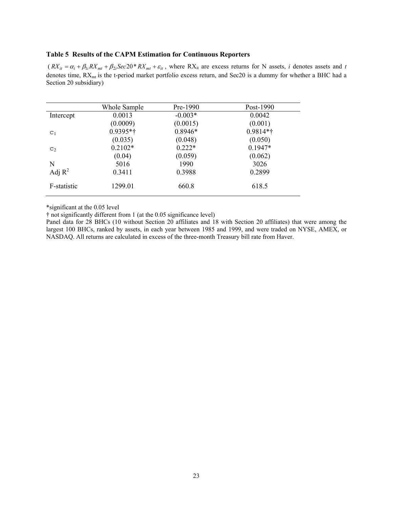## <span id="page-23-0"></span>**Table 5 Results of the CAPM Estimation for Continuous Reporters**

 $(RX_{it} = \alpha_i + \beta_{1i} RX_{mt} + \beta_{2i} Sec20 * RX_{mt} + \varepsilon_{it}$ , where RX<sub>it</sub> are excess returns for N assets, *i* denotes assets and *t* denotes time, RX<sub>mt</sub> is the t-period market portfolio excess return, and Sec20 is a dummy for whether a BHC had a Section 20 subsidiary)

|                | Whole Sample | Pre-1990  | Post-1990  |
|----------------|--------------|-----------|------------|
| Intercept      | 0.0013       | $-0.003*$ | 0.0042     |
|                | (0.0009)     | (0.0015)  | (0.001)    |
| C <sub>1</sub> | $0.9395**$   | $0.8946*$ | $0.9814**$ |
|                | (0.035)      | (0.048)   | (0.050)    |
| C <sub>2</sub> | $0.2102*$    | $0.222*$  | $0.1947*$  |
|                | (0.04)       | (0.059)   | (0.062)    |
| N              | 5016         | 1990      | 3026       |
| Adj $R^2$      | 0.3411       | 0.3988    | 0.2899     |
| F-statistic    | 1299.01      | 660.8     | 618.5      |

\*significant at the 0.05 level

† not significantly different from 1 (at the 0.05 significance level)

Panel data for 28 BHCs (10 without Section 20 affiliates and 18 with Section 20 affiliates) that were among the largest 100 BHCs, ranked by assets, in each year between 1985 and 1999, and were traded on NYSE, AMEX, or NASDAQ. All returns are calculated in excess of the three-month Treasury bill rate from Haver.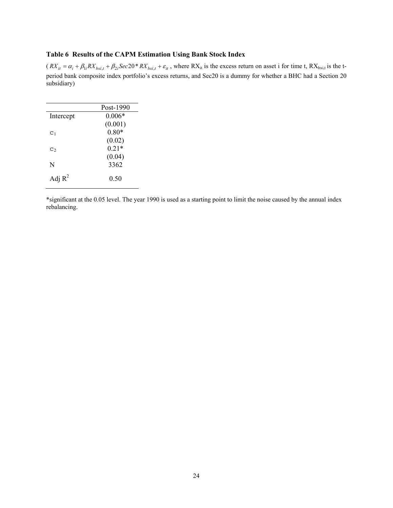## <span id="page-24-0"></span>**Table 6 Results of the CAPM Estimation Using Bank Stock Index**

 $(RX_{it} = \alpha_i + \beta_{li} RX_{bxi, t} + \beta_{2i} Sec20 * RX_{bxi, t} + \varepsilon_{it}$ , where RX<sub>it</sub> is the excess return on asset i for time t, RX<sub>bxi,t</sub> is the tperiod bank composite index portfolio's excess returns, and Sec20 is a dummy for whether a BHC had a Section 20 subsidiary)

|                | Post-1990 |
|----------------|-----------|
| Intercept      | $0.006*$  |
|                | (0.001)   |
| C <sub>1</sub> | $0.80*$   |
|                | (0.02)    |
| $C_2$          | $0.21*$   |
|                | (0.04)    |
| N              | 3362      |
|                |           |
| Adj $R^2$      | 0.50      |

\*significant at the 0.05 level. The year 1990 is used as a starting point to limit the noise caused by the annual index rebalancing.